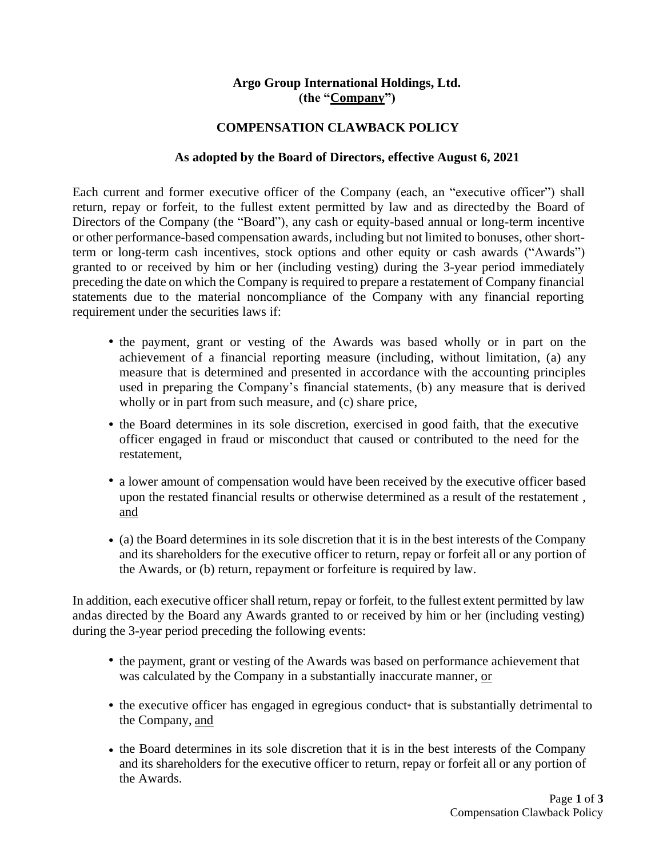## **Argo Group International Holdings, Ltd. (the "Company")**

## **COMPENSATION CLAWBACK POLICY**

## **As adopted by the Board of Directors, effective August 6, 2021**

Each current and former executive officer of the Company (each, an "executive officer") shall return, repay or forfeit, to the fullest extent permitted by law and as directedby the Board of Directors of the Company (the "Board"), any cash or equity-based annual or long-term incentive or other performance-based compensation awards, including but not limited to bonuses, other shortterm or long-term cash incentives, stock options and other equity or cash awards ("Awards") granted to or received by him or her (including vesting) during the 3-year period immediately preceding the date on which the Company is required to prepare a restatement of Company financial statements due to the material noncompliance of the Company with any financial reporting requirement under the securities laws if:

- **•** the payment, grant or vesting of the Awards was based wholly or in part on the achievement of a financial reporting measure (including, without limitation, (a) any measure that is determined and presented in accordance with the accounting principles used in preparing the Company's financial statements, (b) any measure that is derived wholly or in part from such measure, and (c) share price,
- the Board determines in its sole discretion, exercised in good faith, that the executive officer engaged in fraud or misconduct that caused or contributed to the need for the restatement,
- **•** a lower amount of compensation would have been received by the executive officer based upon the restated financial results or otherwise determined as a result of the restatement , and
- (a) the Board determines in its sole discretion that it is in the best interests of the Company and its shareholders for the executive officer to return, repay or forfeit all or any portion of the Awards, or (b) return, repayment or forfeiture is required by law.

In addition, each executive officer shall return, repay or forfeit, to the fullest extent permitted by law andas directed by the Board any Awards granted to or received by him or her (including vesting) during the 3-year period preceding the following events:

- **•** the payment, grant or vesting of the Awards was based on performance achievement that was calculated by the Company in a substantially inaccurate manner, or
- the executive officer has engaged in egregious conduct<sup>\*</sup> that is substantially detrimental to the Company, and
- the Board determines in its sole discretion that it is in the best interests of the Company and its shareholders for the executive officer to return, repay or forfeit all or any portion of the Awards.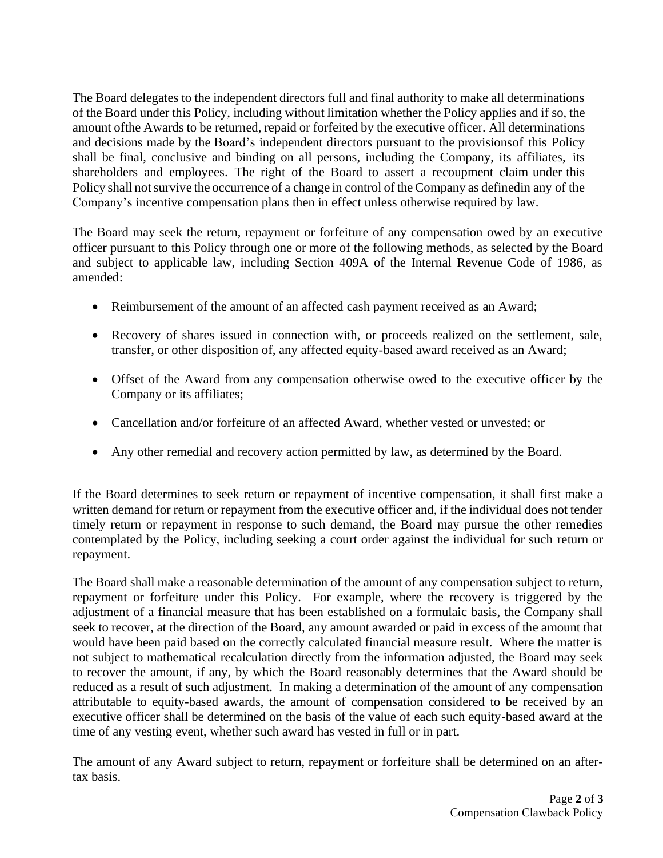The Board delegates to the independent directors full and final authority to make all determinations of the Board under this Policy, including without limitation whether the Policy applies and if so, the amount ofthe Awards to be returned, repaid or forfeited by the executive officer. All determinations and decisions made by the Board's independent directors pursuant to the provisionsof this Policy shall be final, conclusive and binding on all persons, including the Company, its affiliates, its shareholders and employees. The right of the Board to assert a recoupment claim under this Policy shall not survive the occurrence of a change in control of the Company as definedin any of the Company's incentive compensation plans then in effect unless otherwise required by law.

The Board may seek the return, repayment or forfeiture of any compensation owed by an executive officer pursuant to this Policy through one or more of the following methods, as selected by the Board and subject to applicable law, including Section 409A of the Internal Revenue Code of 1986, as amended:

- Reimbursement of the amount of an affected cash payment received as an Award;
- Recovery of shares issued in connection with, or proceeds realized on the settlement, sale, transfer, or other disposition of, any affected equity-based award received as an Award;
- Offset of the Award from any compensation otherwise owed to the executive officer by the Company or its affiliates;
- Cancellation and/or forfeiture of an affected Award, whether vested or unvested; or
- Any other remedial and recovery action permitted by law, as determined by the Board.

If the Board determines to seek return or repayment of incentive compensation, it shall first make a written demand for return or repayment from the executive officer and, if the individual does not tender timely return or repayment in response to such demand, the Board may pursue the other remedies contemplated by the Policy, including seeking a court order against the individual for such return or repayment.

The Board shall make a reasonable determination of the amount of any compensation subject to return, repayment or forfeiture under this Policy. For example, where the recovery is triggered by the adjustment of a financial measure that has been established on a formulaic basis, the Company shall seek to recover, at the direction of the Board, any amount awarded or paid in excess of the amount that would have been paid based on the correctly calculated financial measure result. Where the matter is not subject to mathematical recalculation directly from the information adjusted, the Board may seek to recover the amount, if any, by which the Board reasonably determines that the Award should be reduced as a result of such adjustment. In making a determination of the amount of any compensation attributable to equity-based awards, the amount of compensation considered to be received by an executive officer shall be determined on the basis of the value of each such equity-based award at the time of any vesting event, whether such award has vested in full or in part.

The amount of any Award subject to return, repayment or forfeiture shall be determined on an aftertax basis.